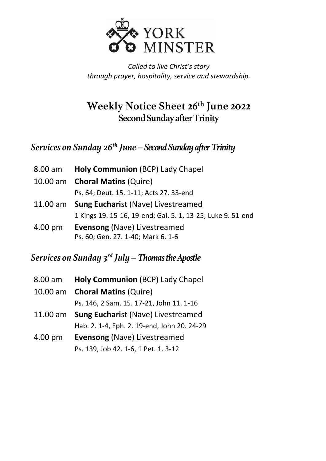

*Called to live Christ's story through prayer, hospitality, service and stewardship.*

## **Weekly Notice Sheet 26th June 2022 Second Sunday after Trinity**

*Services on Sunday 26th June – Second Sunday after Trinity*

- 8.00 am **Holy Communion** (BCP) Lady Chapel
- 10.00 am **Choral Matins** (Quire)

Ps. 64; Deut. 15. 1-11; Acts 27. 33-end

- 11.00 am **Sung Euchari**st (Nave) Livestreamed 1 Kings 19. 15-16, 19-end; Gal. 5. 1, 13-25; Luke 9. 51-end
- 4.00 pm **Evensong** (Nave) Livestreamed Ps. 60; Gen. 27. 1-40; Mark 6. 1-6

## *Services on Sunday 3 rd July –Thomas the Apostle*

| 8.00 am    | <b>Holy Communion (BCP) Lady Chapel</b>     |
|------------|---------------------------------------------|
|            | 10.00 am Choral Matins (Quire)              |
|            | Ps. 146, 2 Sam. 15. 17-21, John 11. 1-16    |
| $11.00$ am | <b>Sung Eucharist (Nave) Livestreamed</b>   |
|            | Hab. 2. 1-4, Eph. 2. 19-end, John 20. 24-29 |
| 4.00 pm    | <b>Evensong (Nave) Livestreamed</b>         |
|            | Ps. 139, Job 42. 1-6, 1 Pet. 1. 3-12        |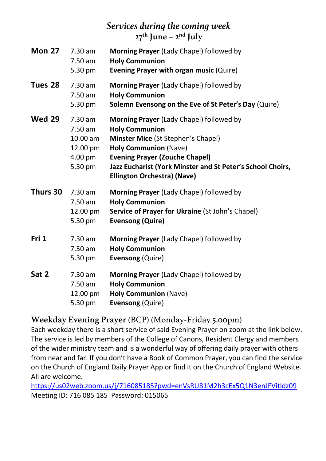## *Services during thecoming week* **27 th June – 2 nd July**

| <b>Mon 27</b> | 7.30 am<br>$7.50$ am<br>5.30 pm                                    | Morning Prayer (Lady Chapel) followed by<br><b>Holy Communion</b><br><b>Evening Prayer with organ music (Quire)</b>                                                                                                                                                                  |
|---------------|--------------------------------------------------------------------|--------------------------------------------------------------------------------------------------------------------------------------------------------------------------------------------------------------------------------------------------------------------------------------|
| Tues 28       | 7.30 am<br>7.50 am<br>5.30 pm                                      | Morning Prayer (Lady Chapel) followed by<br><b>Holy Communion</b><br>Solemn Evensong on the Eve of St Peter's Day (Quire)                                                                                                                                                            |
| <b>Wed 29</b> | $7.30$ am<br>7.50 am<br>10.00 am<br>12.00 pm<br>4.00 pm<br>5.30 pm | Morning Prayer (Lady Chapel) followed by<br><b>Holy Communion</b><br>Minster Mice (St Stephen's Chapel)<br><b>Holy Communion (Nave)</b><br><b>Evening Prayer (Zouche Chapel)</b><br>Jazz Eucharist (York Minster and St Peter's School Choirs,<br><b>Ellington Orchestra) (Nave)</b> |
| Thurs 30      | $7.30$ am<br>7.50 am<br>12.00 pm<br>5.30 pm                        | Morning Prayer (Lady Chapel) followed by<br><b>Holy Communion</b><br>Service of Prayer for Ukraine (St John's Chapel)<br><b>Evensong (Quire)</b>                                                                                                                                     |
| Fri 1         | 7.30 am<br>7.50 am<br>5.30 pm                                      | <b>Morning Prayer</b> (Lady Chapel) followed by<br><b>Holy Communion</b><br><b>Evensong (Quire)</b>                                                                                                                                                                                  |
| Sat 2         | 7.30 am<br>7.50 am<br>12.00 pm<br>5.30 pm                          | Morning Prayer (Lady Chapel) followed by<br><b>Holy Communion</b><br><b>Holy Communion (Nave)</b><br><b>Evensong (Quire)</b>                                                                                                                                                         |

#### **Weekday Evening Prayer** (BCP) (Monday-Friday 5.00pm)

Each weekday there is a short service of said Evening Prayer on zoom at the link below. The service is led by members of the College of Canons, Resident Clergy and members of the wider ministry team and is a wonderful way of offering daily prayer with others from near and far. If you don't have a Book of Common Prayer, you can find the service on the Church of England Daily Prayer App or find it on the Church of England Website. All are welcome.

<https://us02web.zoom.us/j/716085185?pwd=enVsRU81M2h3cEx5Q1N3enJFVitIdz09> Meeting ID: 716 085 185 Password: 015065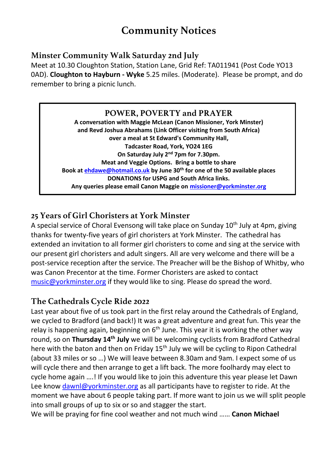# **Community Notices**

#### **Minster Community Walk Saturday 2nd July**

Meet at 10.30 Cloughton Station, Station Lane, Grid Ref: TA011941 (Post Code YO13 0AD). **Cloughton to Hayburn - Wyke** 5.25 miles. (Moderate). Please be prompt, and do remember to bring a picnic lunch.

#### **POWER, POVERTY and PRAYER**

**A conversation with Maggie McLean (Canon Missioner, York Minster) and Revd Joshua Abrahams (Link Officer visiting from South Africa) over a meal at St Edward's Community Hall, Tadcaster Road, York, YO24 1EG On Saturday July 2nd 7pm for 7.30pm. Meat and Veggie Options. Bring a bottle to share Book at [ehdawe@hotmail.co.uk](mailto:ehdawe@hotmail.co.uk) by June 30th for one of the 50 available places DONATIONS for USPG and South Africa links. Any queries please email Canon Maggie on [missioner@yorkminster.org](mailto:missioner@yorkminster.org)**

#### **25 Years of Girl Choristers at York Minster**

A special service of Choral Evensong will take place on Sunday  $10<sup>th</sup>$  July at 4pm, giving thanks for twenty-five years of girl choristers at York Minster. The cathedral has extended an invitation to all former girl choristers to come and sing at the service with our present girl choristers and adult singers. All are very welcome and there will be a post-service reception after the service. The Preacher will be the Bishop of Whitby, who was Canon Precentor at the time. Former Choristers are asked to contact [music@yorkminster.org](mailto:music@yorkminster.org) if they would like to sing. Please do spread the word.

#### **The Cathedrals Cycle Ride 2022**

Last year about five of us took part in the first relay around the Cathedrals of England, we cycled to Bradford (and back!) It was a great adventure and great fun. This year the relay is happening again, beginning on  $6<sup>th</sup>$  June. This year it is working the other way round, so on **Thursday 14th July** we will be welcoming cyclists from Bradford Cathedral here with the baton and then on Friday 15<sup>th</sup> July we will be cycling to Ripon Cathedral (about 33 miles or so …) We will leave between 8.30am and 9am. I expect some of us will cycle there and then arrange to get a lift back. The more foolhardy may elect to cycle home again ….! If you would like to join this adventure this year please let Dawn Lee know [dawnl@yorkminster.org](mailto:dawnl@yorkminster.org) as all participants have to register to ride. At the moment we have about 6 people taking part. If more want to join us we will split people into small groups of up to six or so and stagger the start.

We will be praying for fine cool weather and not much wind …… **Canon Michael**